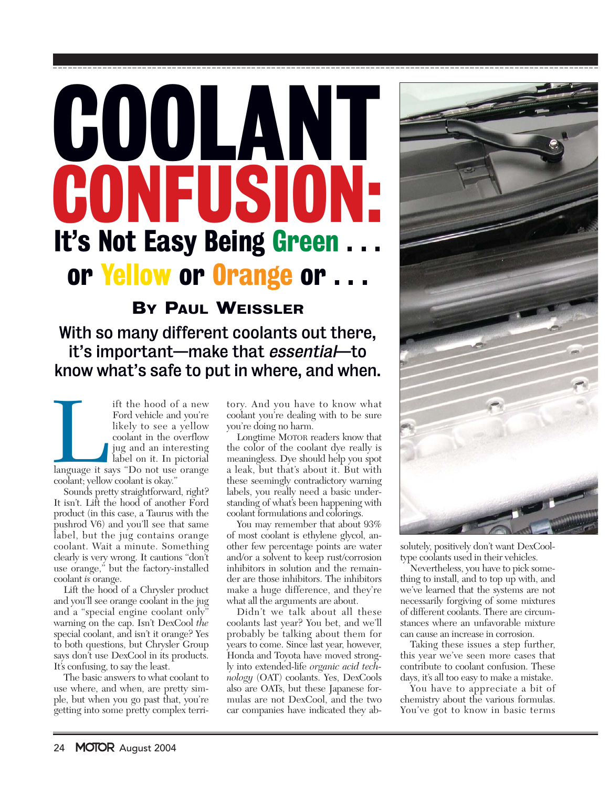# It's Not Easy Being Green or Yellow or Orange or ... COOLANT CONFUSIO

## BY PAUL WEISSLER

# With so many different coolants out there, it's important—make that essential—to know what's safe to put in where, and when.

If the hood of a new<br>Ford vehicle and you're<br>likely to see a yellow<br>coolant in the overflow<br>jug and an interesting<br>label on it. In pictorial<br>language it says "Do not use orange<br>coolant; yellow coolant is okay." Ford vehicle and you're likely to see a yellow coolant in the overflow jug and an interesting label on it. In pictorial language it says "Do not use orange coolant; yellow coolant is okay."

Sounds pretty straightforward, right? It isn't. Lift the hood of another Ford product (in this case, a Taurus with the pushrod V6) and you'll see that same label, but the jug contains orange coolant. Wait a minute. Something clearly is very wrong. It cautions "don't use orange," but the factory-installed coolant *is* orange.

Lift the hood of a Chrysler product and you'll see orange coolant in the jug and a "special engine coolant only" warning on the cap. Isn't DexCool *the* special coolant, and isn't it orange? Yes to both questions, but Chrysler Group says don't use DexCool in its products. It's confusing, to say the least.

The basic answers to what coolant to use where, and when, are pretty simple, but when you go past that, you're getting into some pretty complex terri-

tory. And you have to know what coolant you're dealing with to be sure you're doing no harm.

Longtime MOTOR readers know that the color of the coolant dye really is meaningless. Dye should help you spot a leak, but that's about it. But with these seemingly contradictory warning labels, you really need a basic understanding of what's been happening with coolant formulations and colorings.

You may remember that about  $93\%$ of most coolant is ethylene glycol, another few percentage points are water and/or a solvent to keep rust/corrosion inhibitors in solution and the remainder are those inhibitors. The inhibitors make a huge difference, and they're what all the arguments are about.

Didn't we talk about all these coolants last year? You bet, and we'll probably be talking about them for years to come. Since last year, however, Honda and Toyota have moved strongly into extended-life *organic acid technology* (OAT) coolants. Yes, DexCools also are OATs, but these Japanese formulas are not DexCool, and the two car companies have indicated they ab-



solutely, positively don't want DexCooltype coolants used in their vehicles.

Nevertheless, you have to pick something to install, and to top up with, and we've learned that the systems are not necessarily forgiving of some mixtures of different coolants. There are circumstances where an unfavorable mixture can cause an increase in corrosion.

Taking these issues a step further, this year we've seen more cases that contribute to coolant confusion. These days, it's all too easy to make a mistake.

You have to appreciate a bit of chemistry about the various formulas. You've got to know in basic terms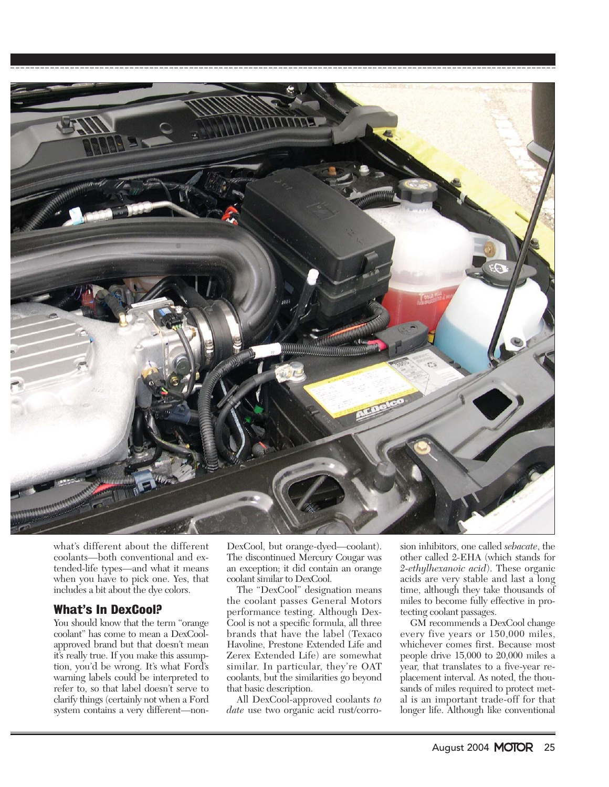

what's different about the different coolants—both conventional and extended-life types—and what it means when you have to pick one. Yes, that includes a bit about the dye colors.

## What's In DexCool?

You should know that the term "orange coolant" has come to mean a DexCoolapproved brand but that doesn't mean it's really true. If you make this assumption, you'd be wrong. It's what Ford's warning labels could be interpreted to refer to, so that label doesn't serve to clarify things (certainly not when a Ford system contains a very different—nonDexCool, but orange-dyed—coolant). The discontinued Mercury Cougar was an exception; it did contain an orange coolant similar to DexCool.

The "DexCool" designation means the coolant passes General Motors performance testing. Although Dex-Cool is not a specific formula, all three brands that have the label (Texaco Havoline, Prestone Extended Life and Zerex Extended Life) are somewhat similar. In particular, they're OAT coolants, but the similarities go beyond that basic description.

All DexCool-approved coolants *to date* use two organic acid rust/corrosion inhibitors, one called *sebacate*, the other called 2-EHA (which stands for *2-ethylhexanoic acid*). These organic acids are very stable and last a long time, although they take thousands of miles to become fully effective in protecting coolant passages.

GM recommends a DexCool change every five years or 150,000 miles, whichever comes first. Because most people drive 15,000 to 20,000 miles a year, that translates to a five-year replacement interval. As noted, the thousands of miles required to protect metal is an important trade-off for that longer life. Although like conventional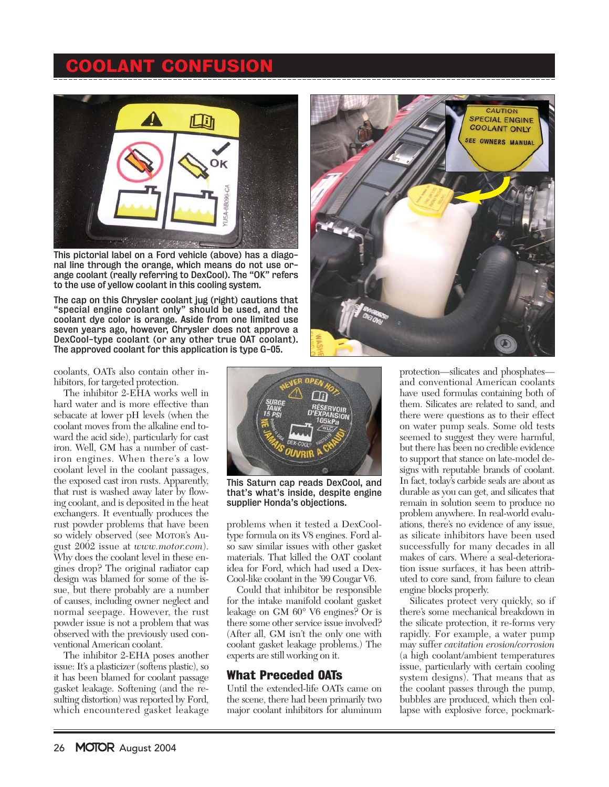# **COOLANT CONFUSIO**



This pictorial label on a Ford vehicle (above) has a diagonal line through the orange, which means do not use orange coolant (really referring to DexCool). The "OK" refers to the use of yellow coolant in this cooling system.

The cap on this Chrysler coolant jug (right) cautions that "special engine coolant only" should be used, and the coolant dye color is orange. Aside from one limited use seven years ago, however, Chrysler does not approve a DexCool-type coolant (or any other true OAT coolant). The approved coolant for this application is type G-05.

coolants, OATs also contain other inhibitors, for targeted protection.

The inhibitor 2-EHA works well in hard water and is more effective than sebacate at lower pH levels (when the coolant moves from the alkaline end toward the acid side), particularly for cast iron. Well, GM has a number of castiron engines. When there's a low coolant level in the coolant passages, the exposed cast iron rusts. Apparently, that rust is washed away later by flowing coolant, and is deposited in the heat exchangers. It eventually produces the rust powder problems that have been so widely observed (see MOTOR's August 2002 issue at *www.motor.com*). Why does the coolant level in these engines drop? The original radiator cap design was blamed for some of the issue, but there probably are a number of causes, including owner neglect and normal seepage. However, the rust powder issue is not a problem that was observed with the previously used conventional American coolant.

The inhibitor 2-EHA poses another issue: It's a plasticizer (softens plastic), so it has been blamed for coolant passage gasket leakage. Softening (and the resulting distortion) was reported by Ford, which encountered gasket leakage



This Saturn cap reads DexCool, and that's what's inside, despite engine supplier Honda's objections.

problems when it tested a DexCooltype formula on its V8 engines. Ford also saw similar issues with other gasket materials. That killed the OAT coolant idea for Ford, which had used a Dex-Cool-like coolant in the '99 Cougar V6.

Could that inhibitor be responsible for the intake manifold coolant gasket leakage on GM 60° V6 engines? Or is there some other service issue involved? (After all, GM isn't the only one with coolant gasket leakage problems.) The experts are still working on it.

## What Preceded OATs

Until the extended-life OATs came on the scene, there had been primarily two major coolant inhibitors for aluminum



protection—silicates and phosphates and conventional American coolants have used formulas containing both of them. Silicates are related to sand, and there were questions as to their effect on water pump seals. Some old tests seemed to suggest they were harmful, but there has been no credible evidence to support that stance on late-model designs with reputable brands of coolant. In fact, today's carbide seals are about as durable as you can get, and silicates that remain in solution seem to produce no problem anywhere. In real-world evaluations, there's no evidence of any issue, as silicate inhibitors have been used successfully for many decades in all makes of cars. Where a seal-deterioration issue surfaces, it has been attributed to core sand, from failure to clean engine blocks properly.

Silicates protect very quickly, so if there's some mechanical breakdown in the silicate protection, it re-forms very rapidly. For example, a water pump may suffer *cavitation erosion/corrosion* (a high coolant/ambient temperatures issue, particularly with certain cooling system designs). That means that as the coolant passes through the pump, bubbles are produced, which then collapse with explosive force, pockmark-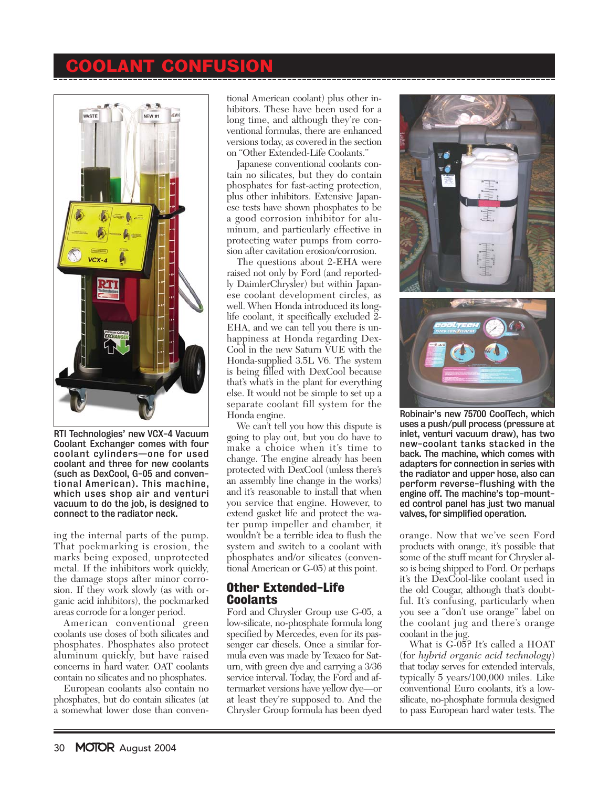## **OLANT CONFUSION**



RTI Technologies' new VCX-4 Vacuum Coolant Exchanger comes with four coolant cylinders—one for used coolant and three for new coolants (such as DexCool, G-05 and conventional American). This machine, which uses shop air and venturi vacuum to do the job, is designed to connect to the radiator neck.

ing the internal parts of the pump. That pockmarking is erosion, the marks being exposed, unprotected metal. If the inhibitors work quickly, the damage stops after minor corrosion. If they work slowly (as with organic acid inhibitors), the pockmarked areas corrode for a longer period.

American conventional green coolants use doses of both silicates and phosphates. Phosphates also protect aluminum quickly, but have raised concerns in hard water. OAT coolants contain no silicates and no phosphates.

European coolants also contain no phosphates, but do contain silicates (at a somewhat lower dose than conventional American coolant) plus other inhibitors. These have been used for a long time, and although they're conventional formulas, there are enhanced versions today, as covered in the section on "Other Extended-Life Coolants."

Japanese conventional coolants contain no silicates, but they do contain phosphates for fast-acting protection, plus other inhibitors. Extensive Japanese tests have shown phosphates to be a good corrosion inhibitor for aluminum, and particularly effective in protecting water pumps from corrosion after cavitation erosion/corrosion.

The questions about 2-EHA were raised not only by Ford (and reportedly DaimlerChrysler) but within Japanese coolant development circles, as well. When Honda introduced its longlife coolant, it specifically excluded 2- EHA, and we can tell you there is unhappiness at Honda regarding Dex-Cool in the new Saturn VUE with the Honda-supplied 3.5L V6. The system is being filled with DexCool because that's what's in the plant for everything else. It would not be simple to set up a separate coolant fill system for the Honda engine.

We can't tell you how this dispute is going to play out, but you do have to make a choice when it's time to change. The engine already has been protected with DexCool (unless there's an assembly line change in the works) and it's reasonable to install that when you service that engine. However, to extend gasket life and protect the water pump impeller and chamber, it wouldn't be a terrible idea to flush the system and switch to a coolant with phosphates and/or silicates (conventional American or G-05) at this point.

## Other Extended-Life Coolants

Ford and Chrysler Group use G-05, a low-silicate, no-phosphate formula long specified by Mercedes, even for its passenger car diesels. Once a similar formula even was made by Texaco for Saturn, with green dye and carrying a 3/36 service interval. Today, the Ford and aftermarket versions have yellow dye—or at least they're supposed to. And the Chrysler Group formula has been dyed



Robinair's new 75700 CoolTech, which uses a push/pull process (pressure at inlet, venturi vacuum draw), has two new-coolant tanks stacked in the back. The machine, which comes with adapters for connection in series with the radiator and upper hose, also can perform reverse-flushing with the engine off. The machine's top-mounted control panel has just two manual valves, for simplified operation.

orange. Now that we've seen Ford products with orange, it's possible that some of the stuff meant for Chrysler also is being shipped to Ford. Or perhaps it's the DexCool-like coolant used in the old Cougar, although that's doubtful. It's confusing, particularly when you see a "don't use orange" label on the coolant jug and there's orange coolant in the jug.

What is G-05? It's called a HOAT (for *hybrid organic acid technology*) that today serves for extended intervals, typically 5 years/100,000 miles. Like conventional Euro coolants, it's a lowsilicate, no-phosphate formula designed to pass European hard water tests. The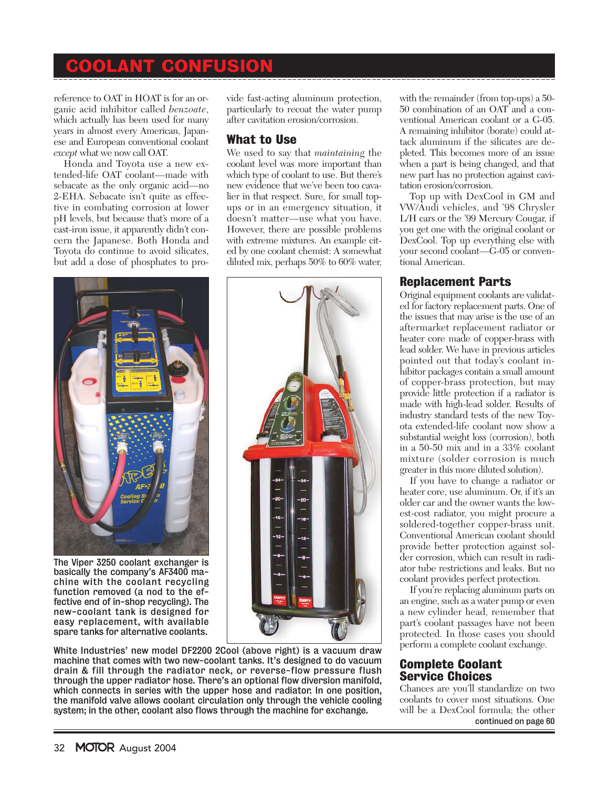## COOLANT CONFUSION

reference to OAT in HOAT is for an organic acid inhibitor called *benzoate*, which actually has been used for many years in almost every American, Japanese and European conventional coolant *except* what we now call OAT.

Honda and Toyota use a new extended-life OAT coolant—made with sebacate as the only organic acid—no 2-EHA. Sebacate isn't quite as effective in combating corrosion at lower pH levels, but because that's more of a cast-iron issue, it apparently didn't concern the Japanese. Both Honda and Toyota do continue to avoid silicates, but add a dose of phosphates to pro-

vide fast-acting aluminum protection, particularly to recoat the water pump after cavitation erosion/corrosion.

## What to Use

We used to say that *maintaining* the coolant level was more important than which type of coolant to use. But there's new evidence that we've been too cavalier in that respect. Sure, for small topups or in an emergency situation, it doesn't matter—use what you have. However, there are possible problems with extreme mixtures. An example cited by one coolant chemist: A somewhat diluted mix, perhaps 50% to 60% water,



The Viper 3250 coolant exchanger is basically the company's AF3400 machine with the coolant recycling function removed (a nod to the effective end of in-shop recycling). The new-coolant tank is designed for easy replacement, with available spare tanks for alternative coolants.



White Industries' new model DF2200 2Cool (above right) is a vacuum draw machine that comes with two new-coolant tanks. It's designed to do vacuum drain & fill through the radiator neck, or reverse-flow pressure flush through the upper radiator hose. There's an optional flow diversion manifold, which connects in series with the upper hose and radiator. In one position, the manifold valve allows coolant circulation only through the vehicle cooling system; in the other, coolant also flows through the machine for exchange.

with the remainder (from top-ups) a 50- 50 combination of an OAT and a conventional American coolant or a G-05. A remaining inhibitor (borate) could attack aluminum if the silicates are depleted. This becomes more of an issue when a part is being changed, and that new part has no protection against cavitation erosion/corrosion.

Top up with DexCool in GM and VW/Audi vehicles, and '98 Chrysler L/H cars or the '99 Mercury Cougar, if you get one with the original coolant or DexCool. Top up everything else with your second coolant—G-05 or conventional American.

## Replacement Parts

Original equipment coolants are validated for factory replacement parts. One of the issues that may arise is the use of an aftermarket replacement radiator or heater core made of copper-brass with lead solder. We have in previous articles pointed out that today's coolant inhibitor packages contain a small amount of copper-brass protection, but may provide little protection if a radiator is made with high-lead solder. Results of industry standard tests of the new Toyota extended-life coolant now show a substantial weight loss (corrosion), both in a 50-50 mix and in a 33% coolant mixture (solder corrosion is much greater in this more diluted solution).

If you have to change a radiator or heater core, use aluminum. Or, if it's an older car and the owner wants the lowest-cost radiator, you might procure a soldered-together copper-brass unit. Conventional American coolant should provide better protection against solder corrosion, which can result in radiator tube restrictions and leaks. But no coolant provides perfect protection.

If you're replacing aluminum parts on an engine, such as a water pump or even a new cylinder head, remember that part's coolant passages have not been protected. In those cases you should perform a complete coolant exchange.

#### Complete Coolant Service Choices

Chances are you'll standardize on two coolants to cover most situations. One will be a DexCool formula; the other continued on page 60